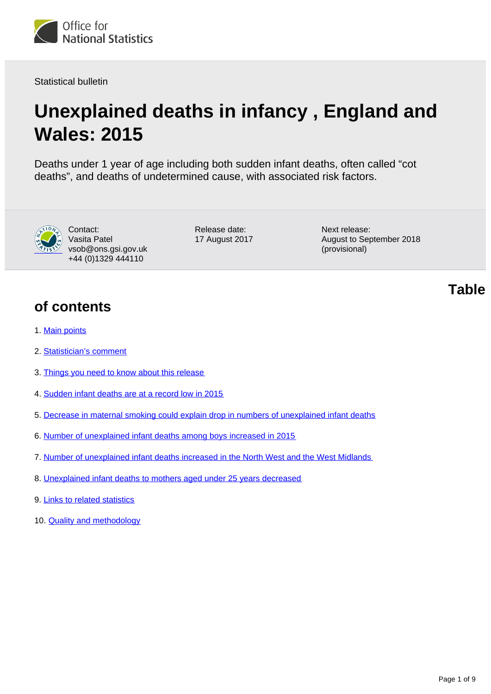

Statistical bulletin

# **Unexplained deaths in infancy , England and Wales: 2015**

Deaths under 1 year of age including both sudden infant deaths, often called "cot deaths", and deaths of undetermined cause, with associated risk factors.



Contact: Vasita Patel vsob@ons.gsi.gov.uk +44 (0)1329 444110

Release date: 17 August 2017 Next release: August to September 2018 (provisional)

**of contents**

- 1. [Main points](#page-1-0)
- 2. [Statistician's comment](#page-1-1)
- 3. [Things you need to know about this release](#page-1-2)
- 4. [Sudden infant deaths are at a record low in 2015](#page-2-0)
- 5. [Decrease in maternal smoking could explain drop in numbers of unexplained infant deaths](#page-4-0)
- 6. [Number of unexplained infant deaths among boys increased in 2015](#page-4-1)
- 7. [Number of unexplained infant deaths increased in the North West and the West Midlands](#page-5-0)
- 8. [Unexplained infant deaths to mothers aged under 25 years decreased](#page-7-0)
- 9. [Links to related statistics](#page-7-1)
- 10. [Quality and methodology](#page-7-2)

**Table**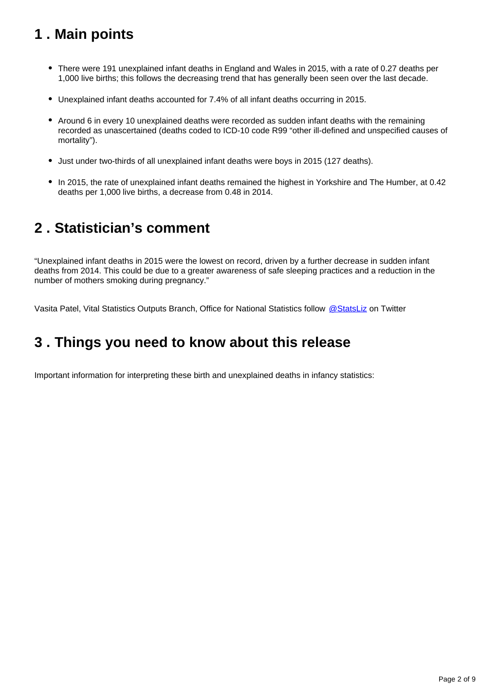# <span id="page-1-0"></span>**1 . Main points**

- There were 191 unexplained infant deaths in England and Wales in 2015, with a rate of 0.27 deaths per 1,000 live births; this follows the decreasing trend that has generally been seen over the last decade.
- Unexplained infant deaths accounted for 7.4% of all infant deaths occurring in 2015.
- Around 6 in every 10 unexplained deaths were recorded as sudden infant deaths with the remaining recorded as unascertained (deaths coded to ICD-10 code R99 "other ill-defined and unspecified causes of mortality").
- Just under two-thirds of all unexplained infant deaths were boys in 2015 (127 deaths).
- In 2015, the rate of unexplained infant deaths remained the highest in Yorkshire and The Humber, at 0.42 deaths per 1,000 live births, a decrease from 0.48 in 2014.

# <span id="page-1-1"></span>**2 . Statistician's comment**

"Unexplained infant deaths in 2015 were the lowest on record, driven by a further decrease in sudden infant deaths from 2014. This could be due to a greater awareness of safe sleeping practices and a reduction in the number of mothers smoking during pregnancy."

Vasita Patel, Vital Statistics Outputs Branch, Office for National Statistics follow [@StatsLiz](https://twitter.com/StatsLiz?ref_src=twsrc%5Etfw) on Twitter

# <span id="page-1-2"></span>**3 . Things you need to know about this release**

Important information for interpreting these birth and unexplained deaths in infancy statistics: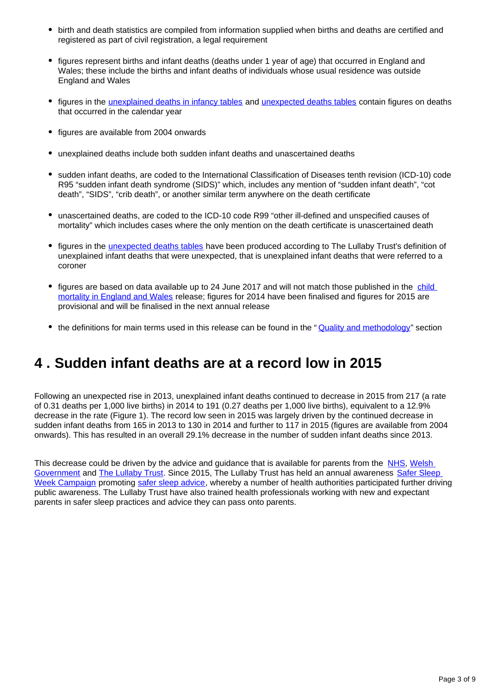- birth and death statistics are compiled from information supplied when births and deaths are certified and registered as part of civil registration, a legal requirement
- figures represent births and infant deaths (deaths under 1 year of age) that occurred in England and Wales; these include the births and infant deaths of individuals whose usual residence was outside England and Wales
- figures in the [unexplained deaths in infancy tables](https://www.ons.gov.uk/peoplepopulationandcommunity/birthsdeathsandmarriages/deaths/datasets/unexplaineddeathsininfancyenglandandwalesreferencetables) and [unexpected deaths tables](https://www.ons.gov.uk/peoplepopulationandcommunity/birthsdeathsandmarriages/deaths/datasets/unexplaineddeathsininfancyenglandandwalesunexpecteddeaths) contain figures on deaths that occurred in the calendar year
- figures are available from 2004 onwards
- unexplained deaths include both sudden infant deaths and unascertained deaths
- sudden infant deaths, are coded to the International Classification of Diseases tenth revision (ICD-10) code R95 "sudden infant death syndrome (SIDS)" which, includes any mention of "sudden infant death", "cot death", "SIDS", "crib death", or another similar term anywhere on the death certificate
- unascertained deaths, are coded to the ICD-10 code R99 "other ill-defined and unspecified causes of mortality" which includes cases where the only mention on the death certificate is unascertained death
- figures in the *unexpected deaths tables* have been produced according to The Lullaby Trust's definition of unexplained infant deaths that were unexpected, that is unexplained infant deaths that were referred to a coroner
- figures are based on data available up to 24 June 2017 and will not match those published in the child [mortality in England and Wales](https://www.ons.gov.uk/peoplepopulationandcommunity/birthsdeathsandmarriages/deaths/bulletins/childhoodinfantandperinatalmortalityinenglandandwales/previousReleases) release; figures for 2014 have been finalised and figures for 2015 are provisional and will be finalised in the next annual release
- the definitions for main terms used in this release can be found in the "**[Quality and methodology](https://www.ons.gov.uk/peoplepopulationandcommunity/birthsdeathsandmarriages/deaths/bulletins/unexplaineddeathsininfancyenglandandwales/2015#quality-and-methodology)**" section

## <span id="page-2-0"></span>**4 . Sudden infant deaths are at a record low in 2015**

Following an unexpected rise in 2013, unexplained infant deaths continued to decrease in 2015 from 217 (a rate of 0.31 deaths per 1,000 live births) in 2014 to 191 (0.27 deaths per 1,000 live births), equivalent to a 12.9% decrease in the rate (Figure 1). The record low seen in 2015 was largely driven by the continued decrease in sudden infant deaths from 165 in 2013 to 130 in 2014 and further to 117 in 2015 (figures are available from 2004 onwards). This has resulted in an overall 29.1% decrease in the number of sudden infant deaths since 2013.

This decrease could be driven by the advice and guidance that is available for parents from the [NHS,](http://www.nhs.uk/Conditions/Sudden-infant-death-syndrome/Pages/Introduction.aspx) Welsh [Government](http://gov.wales/docs/dsjlg/publications/cyp/140320-reduce-risk-cot-death-en.pdf) and [The Lullaby Trust](https://www.lullabytrust.org.uk/). Since 2015, The Lullaby Trust has held an annual awareness Safer Sleep [Week Campaign](https://www.lullabytrust.org.uk/about-us/what-we-do/our-safer-sleep-week-campaign/) promoting [safer sleep advice](https://www.lullabytrust.org.uk/safer-sleep-advice/), whereby a number of health authorities participated further driving public awareness. The Lullaby Trust have also trained health professionals working with new and expectant parents in safer sleep practices and advice they can pass onto parents.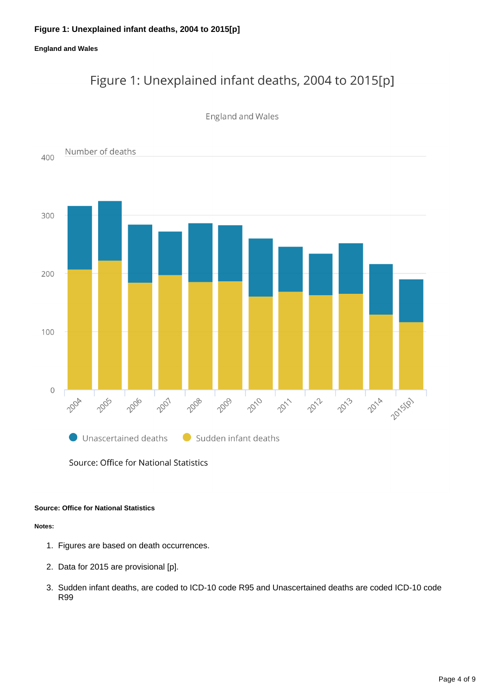#### **England and Wales**

# Figure 1: Unexplained infant deaths, 2004 to 2015[p]

#### **England and Wales**



Source: Office for National Statistics

#### **Source: Office for National Statistics**

#### **Notes:**

- 1. Figures are based on death occurrences.
- 2. Data for 2015 are provisional [p].
- 3. Sudden infant deaths, are coded to ICD-10 code R95 and Unascertained deaths are coded ICD-10 code R99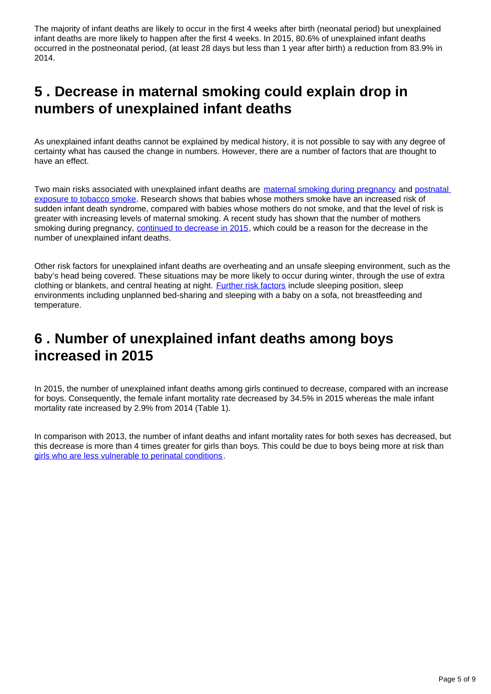The majority of infant deaths are likely to occur in the first 4 weeks after birth (neonatal period) but unexplained infant deaths are more likely to happen after the first 4 weeks. In 2015, 80.6% of unexplained infant deaths occurred in the postneonatal period, (at least 28 days but less than 1 year after birth) a reduction from 83.9% in 2014.

# <span id="page-4-0"></span>**5 . Decrease in maternal smoking could explain drop in numbers of unexplained infant deaths**

As unexplained infant deaths cannot be explained by medical history, it is not possible to say with any degree of certainty what has caused the change in numbers. However, there are a number of factors that are thought to have an effect.

Two main risks associated with unexplained infant deaths are [maternal smoking during pregnancy](https://www.ncbi.nlm.nih.gov/pubmed/9247009) and postnatal [exposure to tobacco smoke](https://www.ncbi.nlm.nih.gov/pubmed/8474808). Research shows that babies whose mothers smoke have an increased risk of sudden infant death syndrome, compared with babies whose mothers do not smoke, and that the level of risk is greater with increasing levels of maternal smoking. A recent study has shown that the number of mothers smoking during pregnancy, [continued to decrease in 2015,](http://content.digital.nhs.uk/article/6465/More-than-one-in-10-babies-born-to-mothers-who-smoke) which could be a reason for the decrease in the number of unexplained infant deaths.

Other risk factors for unexplained infant deaths are overheating and an unsafe sleeping environment, such as the baby's head being covered. These situations may be more likely to occur during winter, through the use of extra clothing or blankets, and central heating at night. [Further risk factors](http://pediatrics.aappublications.org/content/125/3/447.full.pdf) include sleeping position, sleep environments including unplanned bed-sharing and sleeping with a baby on a sofa, not breastfeeding and temperature.

## <span id="page-4-1"></span>**6 . Number of unexplained infant deaths among boys increased in 2015**

In 2015, the number of unexplained infant deaths among girls continued to decrease, compared with an increase for boys. Consequently, the female infant mortality rate decreased by 34.5% in 2015 whereas the male infant mortality rate increased by 2.9% from 2014 (Table 1).

In comparison with 2013, the number of infant deaths and infant mortality rates for both sexes has decreased, but this decrease is more than 4 times greater for girls than boys. This could be due to boys being more at risk than [girls who are less vulnerable to perinatal conditions.](http://www.un.org/esa/population/publications/SexDifChildMort/SexDifferentialsChildhoodMortality.pdf)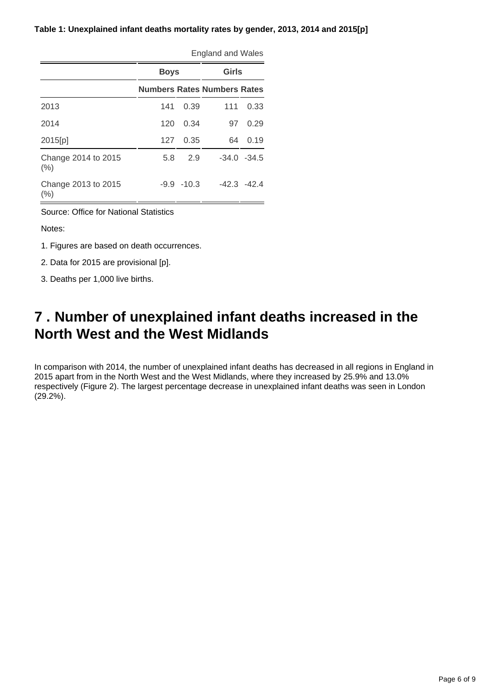#### **Table 1: Unexplained infant deaths mortality rates by gender, 2013, 2014 and 2015[p]**

|                             |      | England and Wales |                                    |                |  |  |
|-----------------------------|------|-------------------|------------------------------------|----------------|--|--|
|                             |      | <b>Boys</b>       |                                    | Girls          |  |  |
|                             |      |                   | <b>Numbers Rates Numbers Rates</b> |                |  |  |
| 2013                        | 141  | 0.39              | 111                                | 0.33           |  |  |
| 2014                        | 120  | 0.34              | 97                                 | 0.29           |  |  |
| 2015[p]                     | 127  | 0.35              | 64                                 | 0.19           |  |  |
| Change 2014 to 2015<br>(% ) | 5.8  | 2.9               |                                    | $-34.0 - 34.5$ |  |  |
| Change 2013 to 2015<br>(%)  | -9.9 | $-10.3$           |                                    | $-42.3 - 42.4$ |  |  |

England and Wales

Source: Office for National Statistics

Notes:

1. Figures are based on death occurrences.

2. Data for 2015 are provisional [p].

3. Deaths per 1,000 live births.

## <span id="page-5-0"></span>**7 . Number of unexplained infant deaths increased in the North West and the West Midlands**

In comparison with 2014, the number of unexplained infant deaths has decreased in all regions in England in 2015 apart from in the North West and the West Midlands, where they increased by 25.9% and 13.0% respectively (Figure 2). The largest percentage decrease in unexplained infant deaths was seen in London (29.2%).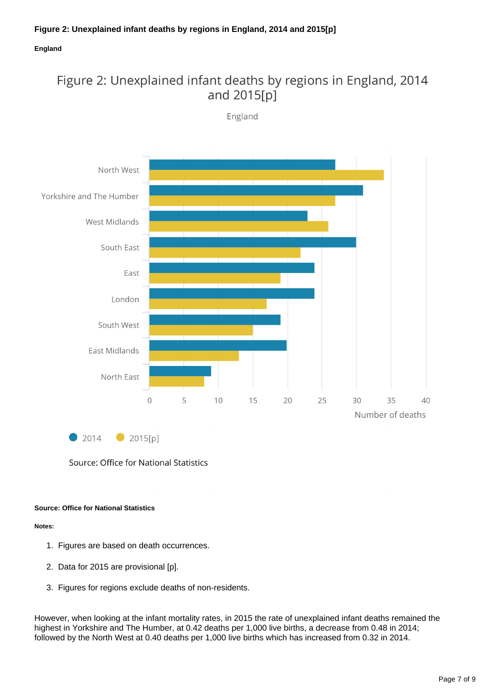#### **England**

### Figure 2: Unexplained infant deaths by regions in England, 2014 and 2015[p]

England



Source: Office for National Statistics

#### **Source: Office for National Statistics**

#### **Notes:**

- 1. Figures are based on death occurrences.
- 2. Data for 2015 are provisional [p].
- 3. Figures for regions exclude deaths of non-residents.

However, when looking at the infant mortality rates, in 2015 the rate of unexplained infant deaths remained the highest in Yorkshire and The Humber, at 0.42 deaths per 1,000 live births, a decrease from 0.48 in 2014; followed by the North West at 0.40 deaths per 1,000 live births which has increased from 0.32 in 2014.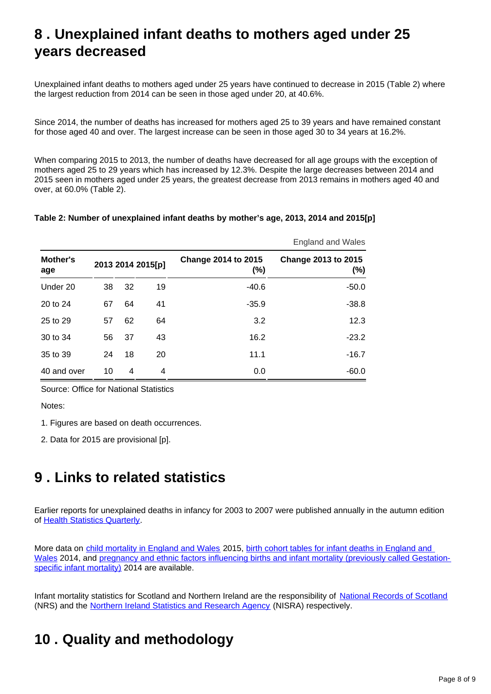# <span id="page-7-0"></span>**8 . Unexplained infant deaths to mothers aged under 25 years decreased**

Unexplained infant deaths to mothers aged under 25 years have continued to decrease in 2015 (Table 2) where the largest reduction from 2014 can be seen in those aged under 20, at 40.6%.

Since 2014, the number of deaths has increased for mothers aged 25 to 39 years and have remained constant for those aged 40 and over. The largest increase can be seen in those aged 30 to 34 years at 16.2%.

When comparing 2015 to 2013, the number of deaths have decreased for all age groups with the exception of mothers aged 25 to 29 years which has increased by 12.3%. Despite the large decreases between 2014 and 2015 seen in mothers aged under 25 years, the greatest decrease from 2013 remains in mothers aged 40 and over, at 60.0% (Table 2).

#### **Table 2: Number of unexplained infant deaths by mother's age, 2013, 2014 and 2015[p]**

|                 |                   |    |    |                                   | <b>England and Wales</b>          |  |
|-----------------|-------------------|----|----|-----------------------------------|-----------------------------------|--|
| Mother's<br>age | 2013 2014 2015[p] |    |    | <b>Change 2014 to 2015</b><br>(%) | <b>Change 2013 to 2015</b><br>(%) |  |
| Under 20        | 38                | 32 | 19 | $-40.6$                           | $-50.0$                           |  |
| 20 to 24        | 67                | 64 | 41 | $-35.9$                           | $-38.8$                           |  |
| 25 to 29        | 57                | 62 | 64 | 3.2                               | 12.3                              |  |
| 30 to 34        | 56                | 37 | 43 | 16.2                              | $-23.2$                           |  |
| 35 to 39        | 24                | 18 | 20 | 11.1                              | $-16.7$                           |  |
| 40 and over     | 10                | 4  | 4  | 0.0                               | $-60.0$                           |  |

Source: Office for National Statistics

Notes:

1. Figures are based on death occurrences.

2. Data for 2015 are provisional [p].

## <span id="page-7-1"></span>**9 . Links to related statistics**

Earlier reports for unexplained deaths in infancy for 2003 to 2007 were published annually in the autumn edition of [Health Statistics Quarterly.](http://www.ons.gov.uk/ons/rel/hsq/health-statistics-quarterly/no--39--autumn-2008/index.html)

More data on [child mortality in England and Wales](https://www.ons.gov.uk/peoplepopulationandcommunity/birthsdeathsandmarriages/deaths/bulletins/childhoodinfantandperinatalmortalityinenglandandwales/previousReleases) 2015, [birth cohort tables for infant deaths in England and](https://www.ons.gov.uk/peoplepopulationandcommunity/birthsdeathsandmarriages/deaths/datasets/birthcohorttablesforinfantdeaths)  [Wales](https://www.ons.gov.uk/peoplepopulationandcommunity/birthsdeathsandmarriages/deaths/datasets/birthcohorttablesforinfantdeaths) 2014, and [pregnancy and ethnic factors influencing births and infant mortality \(previously called Gestation](http://www.ons.gov.uk/peoplepopulationandcommunity/healthandsocialcare/causesofdeath/bulletins/pregnancyandethnicfactorsinfluencingbirthsandinfantmortality/previousReleases)[specific infant mortality\)](http://www.ons.gov.uk/peoplepopulationandcommunity/healthandsocialcare/causesofdeath/bulletins/pregnancyandethnicfactorsinfluencingbirthsandinfantmortality/previousReleases) 2014 are available.

Infant mortality statistics for Scotland and Northern Ireland are the responsibility of [National Records of Scotland](https://www.nrscotland.gov.uk/statistics-and-data/statistics/statistics-by-theme/vital-events/deaths) (NRS) and the [Northern Ireland Statistics and Research Agency](https://www.nisra.gov.uk/statistics/deaths/stillbirths-infant-deaths) (NISRA) respectively.

## <span id="page-7-2"></span>**10 . Quality and methodology**